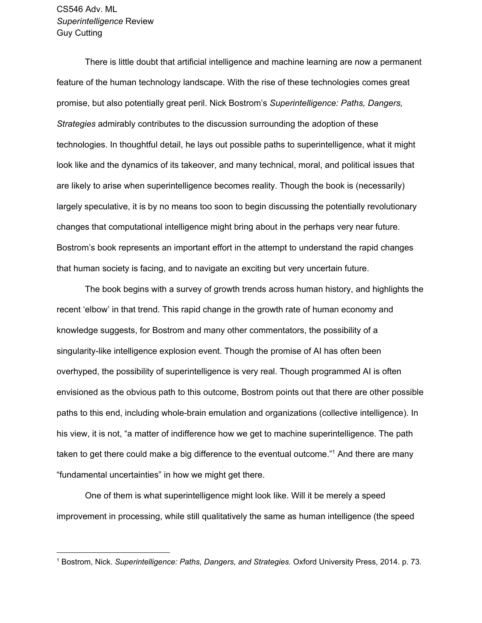There is little doubt that artificial intelligence and machine learning are now a permanent feature of the human technology landscape. With the rise of these technologies comes great promise, but also potentially great peril. Nick Bostrom's *Superintelligence: Paths, Dangers, Strategies* admirably contributes to the discussion surrounding the adoption of these technologies. In thoughtful detail, he lays out possible paths to superintelligence, what it might look like and the dynamics of its takeover, and many technical, moral, and political issues that are likely to arise when superintelligence becomes reality. Though the book is (necessarily) largely speculative, it is by no means too soon to begin discussing the potentially revolutionary changes that computational intelligence might bring about in the perhaps very near future. Bostrom's book represents an important effort in the attempt to understand the rapid changes that human society is facing, and to navigate an exciting but very uncertain future.

The book begins with a survey of growth trends across human history, and highlights the recent 'elbow' in that trend. This rapid change in the growth rate of human economy and knowledge suggests, for Bostrom and many other commentators, the possibility of a singularity-like intelligence explosion event. Though the promise of AI has often been overhyped, the possibility of superintelligence is very real. Though programmed AI is often envisioned as the obvious path to this outcome, Bostrom points out that there are other possible paths to this end, including whole-brain emulation and organizations (collective intelligence). In his view, it is not, "a matter of indifference how we get to machine superintelligence. The path taken to get there could make a big difference to the eventual outcome."<sup>1</sup> And there are many "fundamental uncertainties" in how we might get there.

One of them is what superintelligence might look like. Will it be merely a speed improvement in processing, while still qualitatively the same as human intelligence (the speed

<sup>1</sup> Bostrom, Nick. *Superintelligence: Paths, Dangers, and Strategies.* Oxford University Press, 2014. p. 73.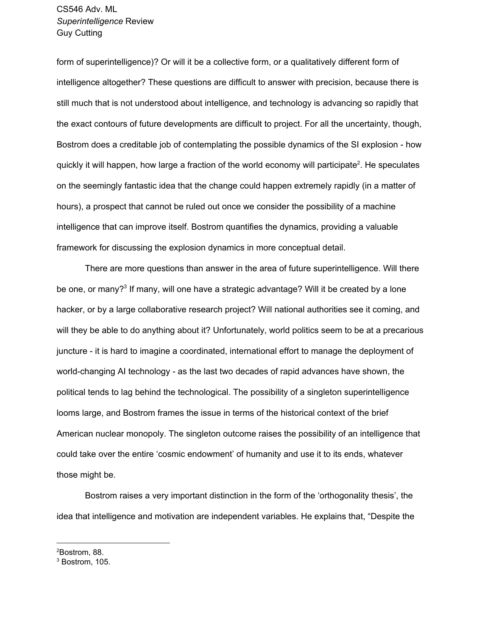form of superintelligence)? Or will it be a collective form, or a qualitatively different form of intelligence altogether? These questions are difficult to answer with precision, because there is still much that is not understood about intelligence, and technology is advancing so rapidly that the exact contours of future developments are difficult to project. For all the uncertainty, though, Bostrom does a creditable job of contemplating the possible dynamics of the SI explosion - how quickly it will happen, how large a fraction of the world economy will participate<sup>2</sup>. He speculates on the seemingly fantastic idea that the change could happen extremely rapidly (in a matter of hours), a prospect that cannot be ruled out once we consider the possibility of a machine intelligence that can improve itself. Bostrom quantifies the dynamics, providing a valuable framework for discussing the explosion dynamics in more conceptual detail.

There are more questions than answer in the area of future superintelligence. Will there be one, or many?<sup>3</sup> If many, will one have a strategic advantage? Will it be created by a lone hacker, or by a large collaborative research project? Will national authorities see it coming, and will they be able to do anything about it? Unfortunately, world politics seem to be at a precarious juncture - it is hard to imagine a coordinated, international effort to manage the deployment of world-changing AI technology - as the last two decades of rapid advances have shown, the political tends to lag behind the technological. The possibility of a singleton superintelligence looms large, and Bostrom frames the issue in terms of the historical context of the brief American nuclear monopoly. The singleton outcome raises the possibility of an intelligence that could take over the entire 'cosmic endowment' of humanity and use it to its ends, whatever those might be.

Bostrom raises a very important distinction in the form of the 'orthogonality thesis', the idea that intelligence and motivation are independent variables. He explains that, "Despite the

<sup>2</sup>Bostrom, 88.

<sup>3</sup> Bostrom, 105.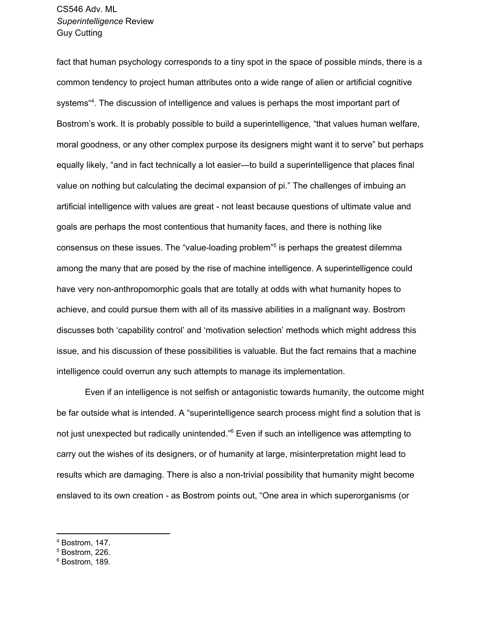fact that human psychology corresponds to a tiny spot in the space of possible minds, there is a common tendency to project human attributes onto a wide range of alien or artificial cognitive systems<sup>44</sup>. The discussion of intelligence and values is perhaps the most important part of Bostrom's work. It is probably possible to build a superintelligence, "that values human welfare, moral goodness, or any other complex purpose its designers might want it to serve" but perhaps equally likely, "and in fact technically a lot easier—to build a superintelligence that places final value on nothing but calculating the decimal expansion of pi." The challenges of imbuing an artificial intelligence with values are great - not least because questions of ultimate value and goals are perhaps the most contentious that humanity faces, and there is nothing like consensus on these issues. The "value-loading problem"<sup>5</sup> is perhaps the greatest dilemma among the many that are posed by the rise of machine intelligence. A superintelligence could have very non-anthropomorphic goals that are totally at odds with what humanity hopes to achieve, and could pursue them with all of its massive abilities in a malignant way. Bostrom discusses both 'capability control' and 'motivation selection' methods which might address this issue, and his discussion of these possibilities is valuable. But the fact remains that a machine intelligence could overrun any such attempts to manage its implementation.

Even if an intelligence is not selfish or antagonistic towards humanity, the outcome might be far outside what is intended. A "superintelligence search process might find a solution that is not just unexpected but radically unintended."<sup>6</sup> Even if such an intelligence was attempting to carry out the wishes of its designers, or of humanity at large, misinterpretation might lead to results which are damaging. There is also a non-trivial possibility that humanity might become enslaved to its own creation - as Bostrom points out, "One area in which superorganisms (or

<sup>4</sup> Bostrom, 147.

<sup>5</sup> Bostrom, 226.

<sup>6</sup> Bostrom, 189.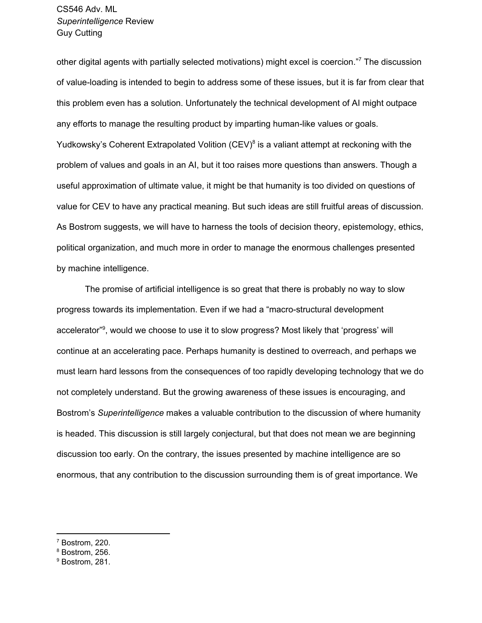other digital agents with partially selected motivations) might excel is coercion."<sup>7</sup> The discussion of value-loading is intended to begin to address some of these issues, but it is far from clear that this problem even has a solution. Unfortunately the technical development of AI might outpace any efforts to manage the resulting product by imparting human-like values or goals. Yudkowsky's Coherent Extrapolated Volition (CEV)<sup>8</sup> is a valiant attempt at reckoning with the problem of values and goals in an AI, but it too raises more questions than answers. Though a useful approximation of ultimate value, it might be that humanity is too divided on questions of value for CEV to have any practical meaning. But such ideas are still fruitful areas of discussion. As Bostrom suggests, we will have to harness the tools of decision theory, epistemology, ethics, political organization, and much more in order to manage the enormous challenges presented by machine intelligence.

The promise of artificial intelligence is so great that there is probably no way to slow progress towards its implementation. Even if we had a "macro-structural development accelerator"<sup>9</sup>, would we choose to use it to slow progress? Most likely that 'progress' will continue at an accelerating pace. Perhaps humanity is destined to overreach, and perhaps we must learn hard lessons from the consequences of too rapidly developing technology that we do not completely understand. But the growing awareness of these issues is encouraging, and Bostrom's *Superintelligence* makes a valuable contribution to the discussion of where humanity is headed. This discussion is still largely conjectural, but that does not mean we are beginning discussion too early. On the contrary, the issues presented by machine intelligence are so enormous, that any contribution to the discussion surrounding them is of great importance. We

<sup>7</sup> Bostrom, 220.

<sup>8</sup> Bostrom, 256.

<sup>9</sup> Bostrom, 281.